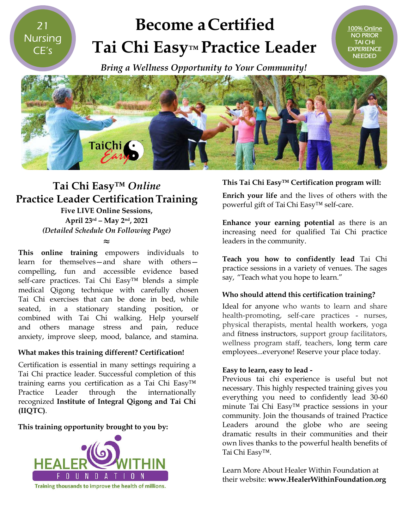21 **Nursing** CE's

# **Become aCertified Tai Chi Easy Easy™ Practice Leader**

 *Bring a Wellness Opportunity to Your Community! Bring a* 



### **Tai Chi Easy™** *Online* **Practice Leader Certification CertificationTraining**

**Five LIVE Online Sessions, April 23rd – May 2nd, 2021** *(Detailed Schedule On Following Page)*

**≈**

**This online training** empowers individuals to learn for themselves—and share with others compelling, fun and accessible evidence based self-care practices. Tai Chi Easy<sup>™</sup> blends a simple medical Qigong technique with carefully chosen Tai Chi exercises that can be done in bed, while seated, in a stationary standing position, or combined with Tai Chi walking. Help yourself and others manage stress and pain, reduce anxiety, improve sleep, mood, balance, and stamina.

#### **What makes this training different? Certification!**

Certification is essential in many settings requiring a Tai Chi practice leader. Successful completion of this training earns you certification as a Tai Chi Easy™ Practice Leader through the internationally recognized **Institute of Integral Qigong and Tai Chi (IIQTC)**.

#### **This training opportunity brought to you by:**



#### **This Tai Chi Easy™ Certification program w This Tai will:**

100% Online NO PRIOR TAI CHI EXPERIENCE **NEEDED** 

**Enrich your life** and the lives of others with the **Enrich your life** and the lives of other<br>powerful gift of Tai Chi Easy™ self-care.

**Enhance your earning potential** as there is an increasing need for qualified Tai Chi practice leaders in the community.

**Teach you how to confidently lead** Tai Chi practice sessions in a variety of venues. The sages The sages say, "Teach what you hope to learn."

#### **Who should attend this certification training? this**

Ideal for anyone who wants to learn and share Ideal for anyone who wants to learn and share<br>health-promoting, self-care practices - nurses, physical therapists, mental health workers, yoga and fitness instructors, support group facilitators, and fitness instructors, support group facilitators,<br>wellness program staff, teachers, long term care employees...everyone! Reserve your place today. place today.

#### **Easy to learn, easy to lead to -**

Previous tai chi experience is useful but not necessary. This highly respected training gives you everything you need to confidently lead 30 30-60 minute Tai Chi Easy™ practice sessions in your community. Join the thousands of trained Practice Leaders around the globe who are seeing dramatic results in their communities and their their own lives thanks to the powerful health benefits of Tai Chi Easy™. own lives thanks to the powerful health benefits<br>Tai Chi Easy™.<br>Learn More About Healer Within Foundation at

their website: **www.HealerWithinFoundation.org www.HealerWithinFoundation.org**